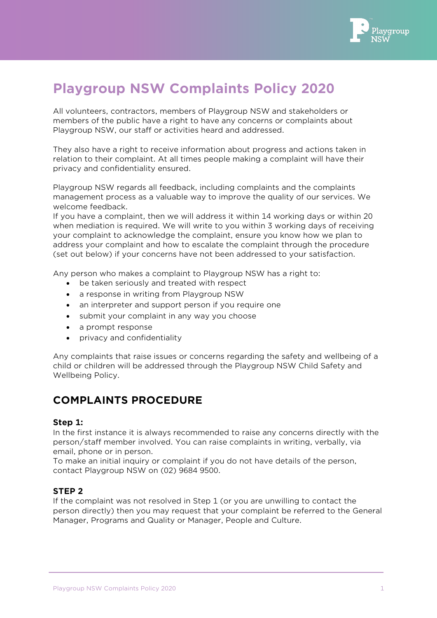

# **Playgroup NSW Complaints Policy 2020**

All volunteers, contractors, members of Playgroup NSW and stakeholders or members of the public have a right to have any concerns or complaints about Playgroup NSW, our staff or activities heard and addressed.

They also have a right to receive information about progress and actions taken in relation to their complaint. At all times people making a complaint will have their privacy and confidentiality ensured.

Playgroup NSW regards all feedback, including complaints and the complaints management process as a valuable way to improve the quality of our services. We welcome feedback.

If you have a complaint, then we will address it within 14 working days or within 20 when mediation is required. We will write to you within 3 working days of receiving your complaint to acknowledge the complaint, ensure you know how we plan to address your complaint and how to escalate the complaint through the procedure (set out below) if your concerns have not been addressed to your satisfaction.

Any person who makes a complaint to Playgroup NSW has a right to:

- be taken seriously and treated with respect
- a response in writing from Playgroup NSW
- an interpreter and support person if you require one
- submit your complaint in any way you choose
- a prompt response
- privacy and confidentiality

Any complaints that raise issues or concerns regarding the safety and wellbeing of a child or children will be addressed through the Playgroup NSW Child Safety and Wellbeing Policy.

# **COMPLAINTS PROCEDURE**

#### **Step 1:**

In the first instance it is always recommended to raise any concerns directly with the person/staff member involved. You can raise complaints in writing, verbally, via email, phone or in person.

To make an initial inquiry or complaint if you do not have details of the person, contact Playgroup NSW on (02) 9684 9500.

#### **STEP 2**

If the complaint was not resolved in Step 1 (or you are unwilling to contact the person directly) then you may request that your complaint be referred to the General Manager, Programs and Quality or Manager, People and Culture.